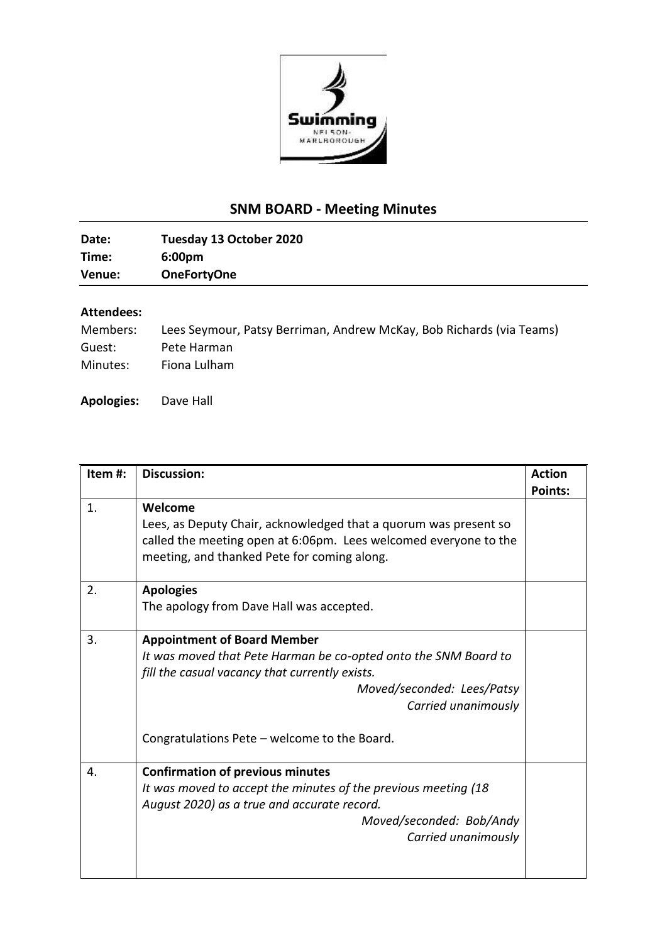

## **SNM BOARD - Meeting Minutes**

| Date:  | Tuesday 13 October 2020 |
|--------|-------------------------|
| Time:  | 6:00 <sub>pm</sub>      |
| Venue: | <b>OneFortyOne</b>      |

## **Attendees:**

| Members: | Lees Seymour, Patsy Berriman, Andrew McKay, Bob Richards (via Teams) |
|----------|----------------------------------------------------------------------|
| Guest:   | Pete Harman                                                          |
| Minutes: | Fiona Lulham                                                         |

**Apologies:** Dave Hall

| Item#: | <b>Discussion:</b>                                               | <b>Action</b>  |
|--------|------------------------------------------------------------------|----------------|
|        |                                                                  | <b>Points:</b> |
| 1.     | Welcome                                                          |                |
|        | Lees, as Deputy Chair, acknowledged that a quorum was present so |                |
|        | called the meeting open at 6:06pm. Lees welcomed everyone to the |                |
|        | meeting, and thanked Pete for coming along.                      |                |
|        |                                                                  |                |
| 2.     | <b>Apologies</b>                                                 |                |
|        | The apology from Dave Hall was accepted.                         |                |
|        |                                                                  |                |
| 3.     | <b>Appointment of Board Member</b>                               |                |
|        | It was moved that Pete Harman be co-opted onto the SNM Board to  |                |
|        | fill the casual vacancy that currently exists.                   |                |
|        | Moved/seconded: Lees/Patsy                                       |                |
|        | Carried unanimously                                              |                |
|        |                                                                  |                |
|        | Congratulations Pete - welcome to the Board.                     |                |
|        |                                                                  |                |
| 4.     | <b>Confirmation of previous minutes</b>                          |                |
|        | It was moved to accept the minutes of the previous meeting (18   |                |
|        | August 2020) as a true and accurate record.                      |                |
|        | Moved/seconded: Bob/Andy                                         |                |
|        | Carried unanimously                                              |                |
|        |                                                                  |                |
|        |                                                                  |                |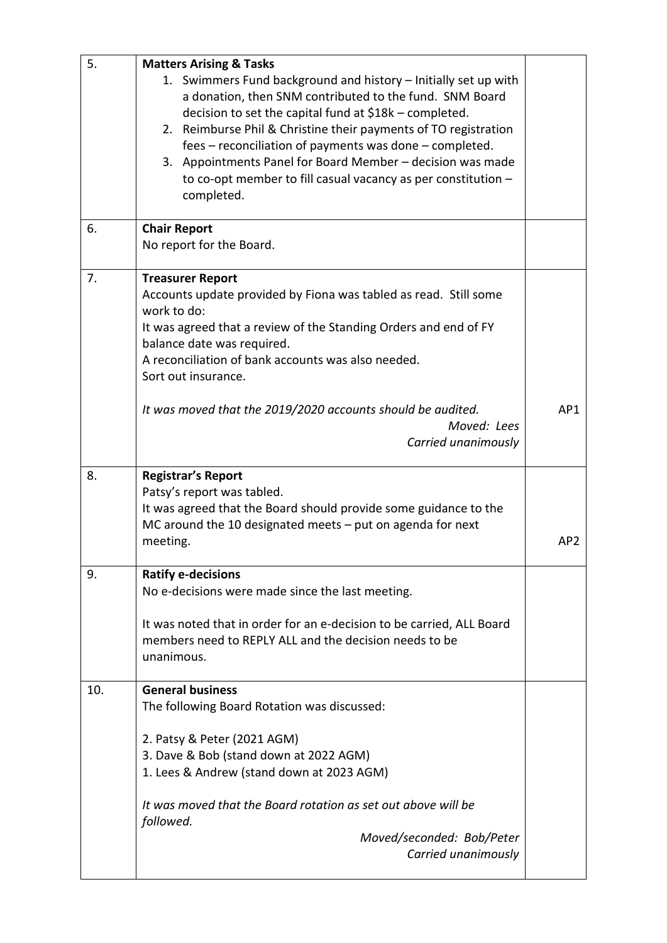| 5. | <b>Matters Arising &amp; Tasks</b>                                                                                                                                                                                                                                                                                                                                                                                                                                |                 |
|----|-------------------------------------------------------------------------------------------------------------------------------------------------------------------------------------------------------------------------------------------------------------------------------------------------------------------------------------------------------------------------------------------------------------------------------------------------------------------|-----------------|
|    | 1. Swimmers Fund background and history - Initially set up with<br>a donation, then SNM contributed to the fund. SNM Board<br>decision to set the capital fund at \$18k - completed.<br>2. Reimburse Phil & Christine their payments of TO registration<br>fees - reconciliation of payments was done - completed.<br>3. Appointments Panel for Board Member - decision was made<br>to co-opt member to fill casual vacancy as per constitution $-$<br>completed. |                 |
| 6. | <b>Chair Report</b><br>No report for the Board.                                                                                                                                                                                                                                                                                                                                                                                                                   |                 |
| 7. | <b>Treasurer Report</b><br>Accounts update provided by Fiona was tabled as read. Still some<br>work to do:<br>It was agreed that a review of the Standing Orders and end of FY<br>balance date was required.<br>A reconciliation of bank accounts was also needed.<br>Sort out insurance.                                                                                                                                                                         |                 |
|    | It was moved that the 2019/2020 accounts should be audited.<br>Moved: Lees<br>Carried unanimously                                                                                                                                                                                                                                                                                                                                                                 | AP1             |
| 8. | <b>Registrar's Report</b><br>Patsy's report was tabled.                                                                                                                                                                                                                                                                                                                                                                                                           |                 |
|    | It was agreed that the Board should provide some guidance to the<br>MC around the 10 designated meets $-$ put on agenda for next<br>meeting.                                                                                                                                                                                                                                                                                                                      | AP <sub>2</sub> |
| 9. | <b>Ratify e-decisions</b><br>No e-decisions were made since the last meeting.<br>It was noted that in order for an e-decision to be carried, ALL Board<br>members need to REPLY ALL and the decision needs to be<br>unanimous.                                                                                                                                                                                                                                    |                 |